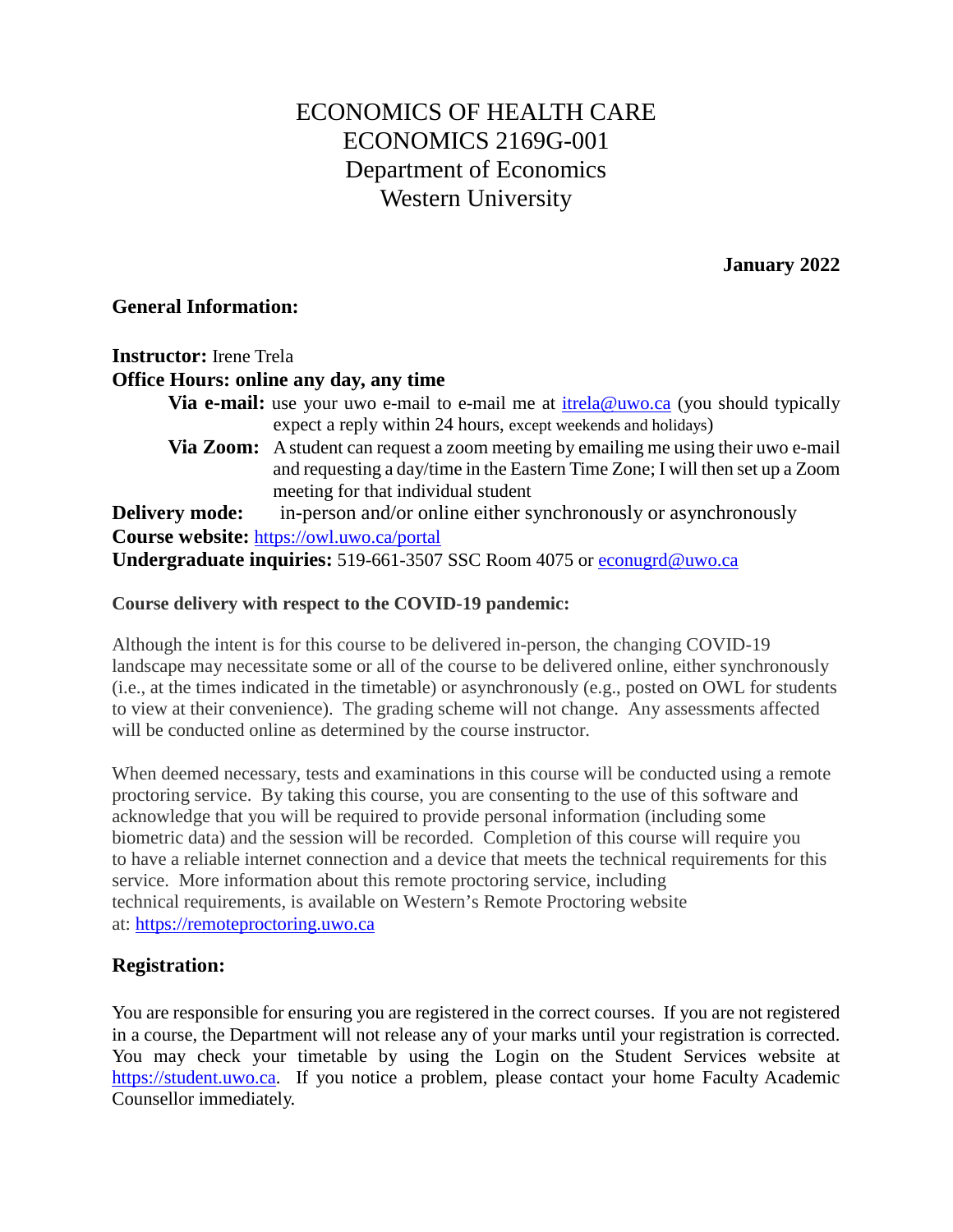# ECONOMICS OF HEALTH CARE ECONOMICS 2169G-001 Department of Economics Western University

**January 2022**

# **General Information:**

# **Instructor:** Irene Trela **Office Hours: online any day, any time Via e-mail:** use your uwo e-mail to e-mail me at [itrela@uwo.ca](mailto:itrela@uwo.ca) (you should typically expect a reply within 24 hours, except weekends and holidays) **Via Zoom:** A student can request a zoom meeting by emailing me using their uwo e-mail and requesting a day/time in the Eastern Time Zone; I will then set up a Zoom meeting for that individual student **Delivery mode:** in-person and/or online either synchronously or asynchronously **Course website:** <https://owl.uwo.ca/portal> **Undergraduate inquiries:** 519-661-3507 SSC Room 4075 or [econugrd@uwo.ca](mailto:econugrd@uwo.ca)

## **Course delivery with respect to the COVID-19 pandemic:**

Although the intent is for this course to be delivered in-person, the changing COVID-19 landscape may necessitate some or all of the course to be delivered online, either synchronously (i.e., at the times indicated in the timetable) or asynchronously (e.g., posted on OWL for students to view at their convenience). The grading scheme will not change. Any assessments affected will be conducted online as determined by the course instructor.

When deemed necessary, tests and examinations in this course will be conducted using a remote proctoring service. By taking this course, you are consenting to the use of this software and acknowledge that you will be required to provide personal information (including some biometric data) and the session will be recorded. Completion of this course will require you to have a reliable internet connection and a device that meets the technical requirements for this service. More information about this remote proctoring service, including technical requirements, is available on Western's Remote Proctoring website at: [https://remoteproctoring.uwo.ca](https://remoteproctoring.uwo.ca/)

# **Registration:**

You are responsible for ensuring you are registered in the correct courses. If you are not registered in a course, the Department will not release any of your marks until your registration is corrected. You may check your timetable by using the Login on the Student Services website at [https://student.uwo.ca.](https://student.uwo.ca/) If you notice a problem, please contact your home Faculty Academic Counsellor immediately.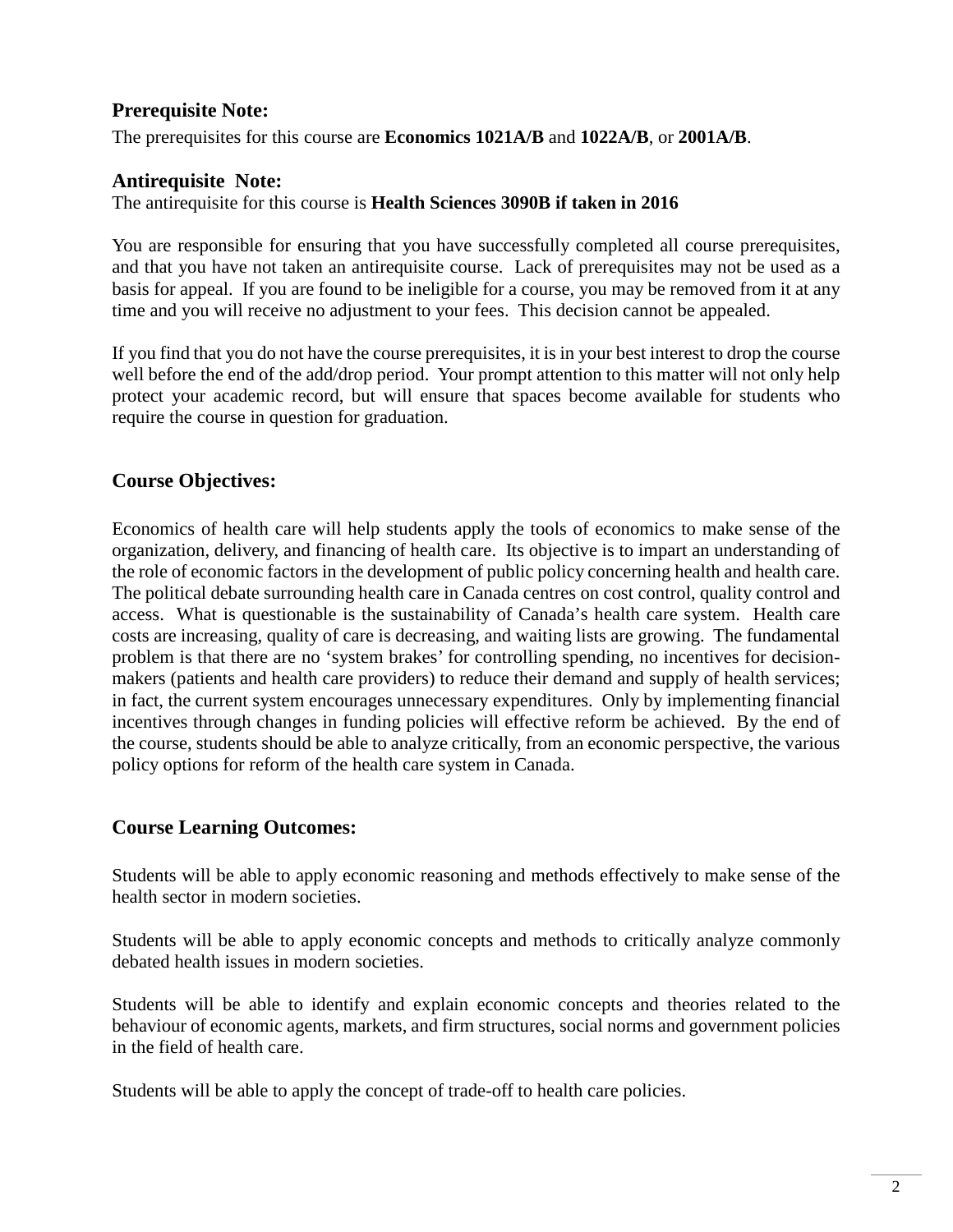# **Prerequisite Note:**

The prerequisites for this course are **Economics 1021A/B** and **1022A/B**, or **2001A/B**.

## **Antirequisite Note:**

The antirequisite for this course is **Health Sciences 3090B if taken in 2016**

You are responsible for ensuring that you have successfully completed all course prerequisites, and that you have not taken an antirequisite course. Lack of prerequisites may not be used as a basis for appeal. If you are found to be ineligible for a course, you may be removed from it at any time and you will receive no adjustment to your fees. This decision cannot be appealed.

If you find that you do not have the course prerequisites, it is in your best interest to drop the course well before the end of the add/drop period. Your prompt attention to this matter will not only help protect your academic record, but will ensure that spaces become available for students who require the course in question for graduation.

## **Course Objectives:**

Economics of health care will help students apply the tools of economics to make sense of the organization, delivery, and financing of health care. Its objective is to impart an understanding of the role of economic factors in the development of public policy concerning health and health care. The political debate surrounding health care in Canada centres on cost control, quality control and access. What is questionable is the sustainability of Canada's health care system. Health care costs are increasing, quality of care is decreasing, and waiting lists are growing. The fundamental problem is that there are no 'system brakes' for controlling spending, no incentives for decisionmakers (patients and health care providers) to reduce their demand and supply of health services; in fact, the current system encourages unnecessary expenditures. Only by implementing financial incentives through changes in funding policies will effective reform be achieved.By the end of the course, students should be able to analyze critically, from an economic perspective, the various policy options for reform of the health care system in Canada.

## **Course Learning Outcomes:**

Students will be able to apply economic reasoning and methods effectively to make sense of the health sector in modern societies.

Students will be able to apply economic concepts and methods to critically analyze commonly debated health issues in modern societies.

Students will be able to identify and explain economic concepts and theories related to the behaviour of economic agents, markets, and firm structures, social norms and government policies in the field of health care.

Students will be able to apply the concept of trade-off to health care policies.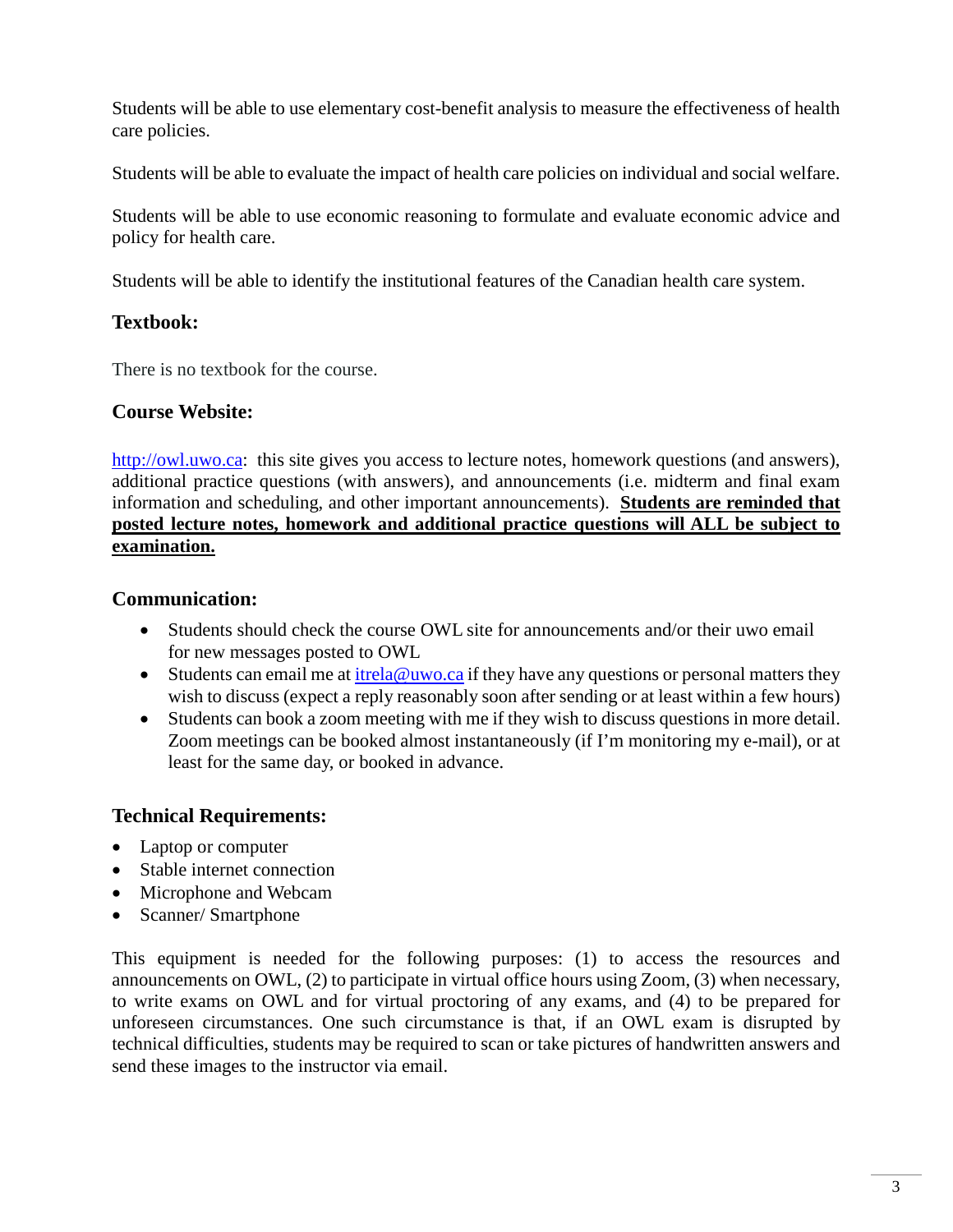Students will be able to use elementary cost-benefit analysis to measure the effectiveness of health care policies.

Students will be able to evaluate the impact of health care policies on individual and social welfare.

Students will be able to use economic reasoning to formulate and evaluate economic advice and policy for health care.

Students will be able to identify the institutional features of the Canadian health care system.

# **Textbook:**

There is no textbook for the course.

## **Course Website:**

[http://owl.uwo.ca:](http://owl.uwo.ca/) this site gives you access to lecture notes, homework questions (and answers), additional practice questions (with answers), and announcements (i.e. midterm and final exam information and scheduling, and other important announcements). **Students are reminded that posted lecture notes, homework and additional practice questions will ALL be subject to examination.** 

## **Communication:**

- Students should check the course OWL site for announcements and/or their uwo email for new messages posted to OWL
- Students can email me at  $\frac{i \text{trela} @ \text{uwo.ca}}{i}$  if they have any questions or personal matters they wish to discuss (expect a reply reasonably soon after sending or at least within a few hours)
- Students can book a zoom meeting with me if they wish to discuss questions in more detail. Zoom meetings can be booked almost instantaneously (if I'm monitoring my e-mail), or at least for the same day, or booked in advance.

# **Technical Requirements:**

- Laptop or computer
- Stable internet connection
- Microphone and Webcam
- Scanner/ Smartphone

This equipment is needed for the following purposes: (1) to access the resources and announcements on OWL, (2) to participate in virtual office hours using Zoom, (3) when necessary, to write exams on OWL and for virtual proctoring of any exams, and (4) to be prepared for unforeseen circumstances. One such circumstance is that, if an OWL exam is disrupted by technical difficulties, students may be required to scan or take pictures of handwritten answers and send these images to the instructor via email.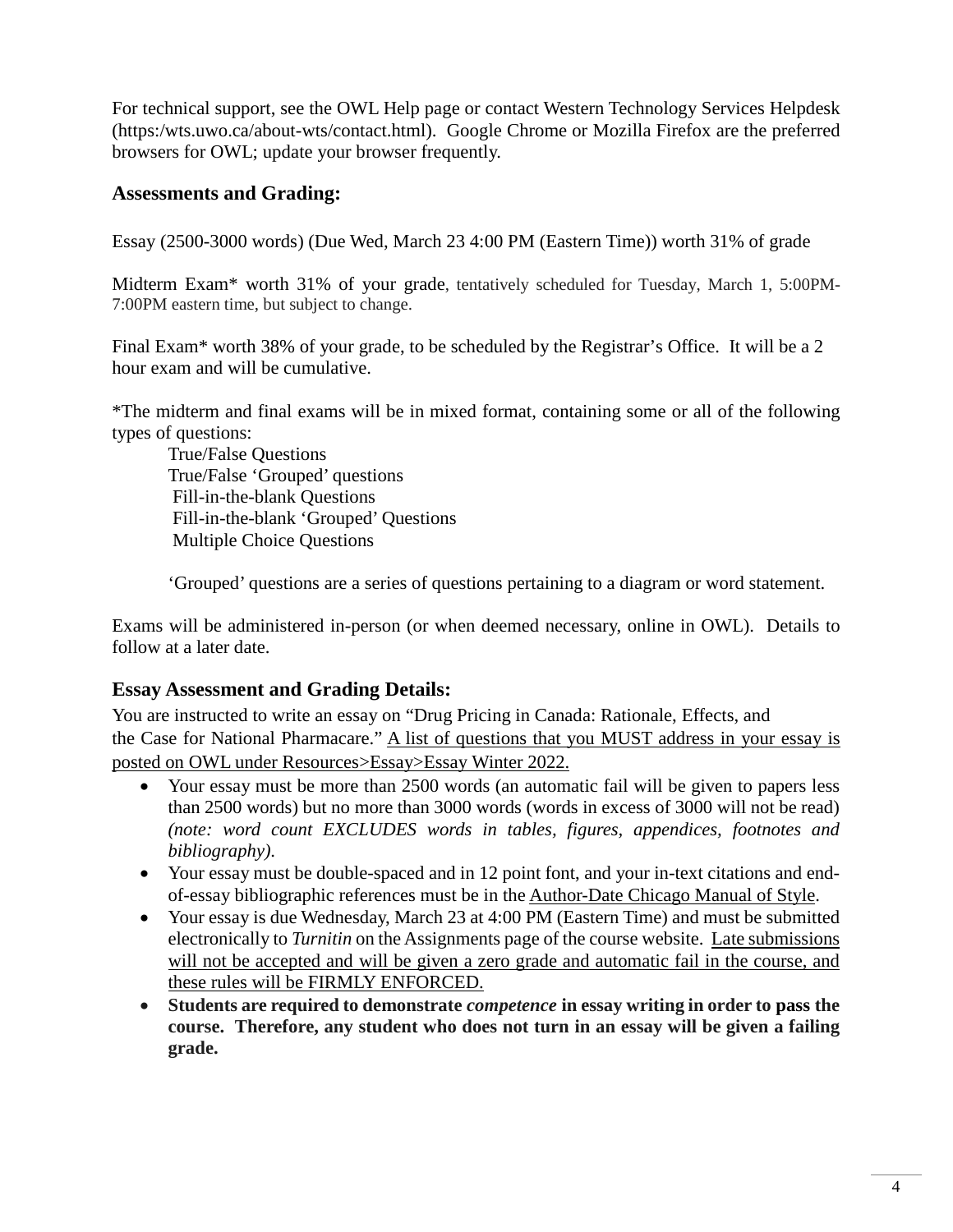For technical support, see the OWL Help page or contact Western Technology Services Helpdesk (https:/wts.uwo.ca/about-wts/contact.html). Google Chrome or Mozilla Firefox are the preferred browsers for OWL; update your browser frequently.

# **Assessments and Grading:**

Essay (2500-3000 words) (Due Wed, March 23 4:00 PM (Eastern Time)) worth 31% of grade

Midterm Exam\* worth 31% of your grade, tentatively scheduled for Tuesday, March 1, 5:00PM-7:00PM eastern time, but subject to change.

Final Exam\* worth 38% of your grade, to be scheduled by the Registrar's Office. It will be a 2 hour exam and will be cumulative.

\*The midterm and final exams will be in mixed format, containing some or all of the following types of questions:

True/False Questions True/False 'Grouped' questions Fill-in-the-blank Questions Fill-in-the-blank 'Grouped' Questions Multiple Choice Questions

'Grouped' questions are a series of questions pertaining to a diagram or word statement.

Exams will be administered in-person (or when deemed necessary, online in OWL). Details to follow at a later date.

## **Essay Assessment and Grading Details:**

You are instructed to write an essay on "Drug Pricing in Canada: Rationale, Effects, and the Case for National Pharmacare." A list of questions that you MUST address in your essay is posted on OWL under Resources>Essay>Essay Winter 2022.

- Your essay must be more than 2500 words (an automatic fail will be given to papers less than 2500 words) but no more than 3000 words (words in excess of 3000 will not be read) *(note: word count EXCLUDES words in tables, figures, appendices, footnotes and bibliography)*.
- Your essay must be double-spaced and in 12 point font, and your in-text citations and endof-essay bibliographic references must be in the Author-Date Chicago Manual of Style.
- Your essay is due Wednesday, March 23 at 4:00 PM (Eastern Time) and must be submitted electronically to *Turnitin* on the Assignments page of the course website. Late submissions will not be accepted and will be given a zero grade and automatic fail in the course, and these rules will be FIRMLY ENFORCED.
- **Students are required to demonstrate** *competence* **in essay writing in order to pass the course. Therefore, any student who does not turn in an essay will be given a failing grade.**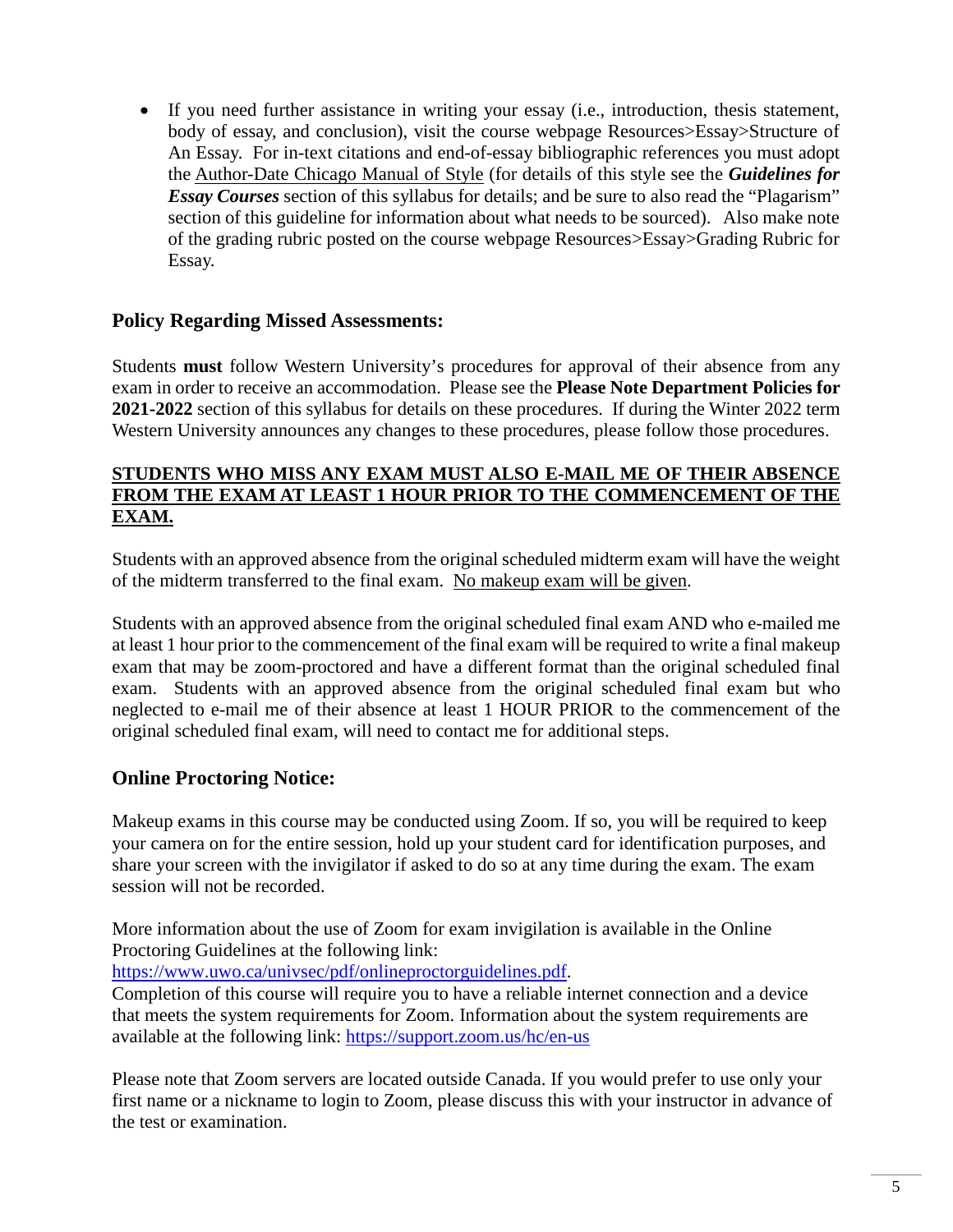• If you need further assistance in writing your essay (i.e., introduction, thesis statement, body of essay, and conclusion), visit the course webpage Resources>Essay>Structure of An Essay. For in-text citations and end-of-essay bibliographic references you must adopt the Author-Date Chicago Manual of Style (for details of this style see the *Guidelines for*  **Essay Courses** section of this syllabus for details; and be sure to also read the "Plagarism" section of this guideline for information about what needs to be sourced). Also make note of the grading rubric posted on the course webpage Resources>Essay>Grading Rubric for Essay.

# **Policy Regarding Missed Assessments:**

Students **must** follow Western University's procedures for approval of their absence from any exam in order to receive an accommodation. Please see the **Please Note Department Policies for 2021-2022** section of this syllabus for details on these procedures. If during the Winter 2022 term Western University announces any changes to these procedures, please follow those procedures.

## **STUDENTS WHO MISS ANY EXAM MUST ALSO E-MAIL ME OF THEIR ABSENCE FROM THE EXAM AT LEAST 1 HOUR PRIOR TO THE COMMENCEMENT OF THE EXAM.**

Students with an approved absence from the original scheduled midterm exam will have the weight of the midterm transferred to the final exam. No makeup exam will be given.

Students with an approved absence from the original scheduled final exam AND who e-mailed me at least 1 hour prior to the commencement of the final exam will be required to write a final makeup exam that may be zoom-proctored and have a different format than the original scheduled final exam. Students with an approved absence from the original scheduled final exam but who neglected to e-mail me of their absence at least 1 HOUR PRIOR to the commencement of the original scheduled final exam, will need to contact me for additional steps.

## **Online Proctoring Notice:**

Makeup exams in this course may be conducted using Zoom. If so, you will be required to keep your camera on for the entire session, hold up your student card for identification purposes, and share your screen with the invigilator if asked to do so at any time during the exam. The exam session will not be recorded.

More information about the use of Zoom for exam invigilation is available in the Online Proctoring Guidelines at the following link:

[https://www.uwo.ca/univsec/pdf/onlineproctorguidelines.pdf.](https://www.uwo.ca/univsec/pdf/onlineproctorguidelines.pdf)

Completion of this course will require you to have a reliable internet connection and a device that meets the system requirements for Zoom. Information about the system requirements are available at the following link:<https://support.zoom.us/hc/en-us>

Please note that Zoom servers are located outside Canada. If you would prefer to use only your first name or a nickname to login to Zoom, please discuss this with your instructor in advance of the test or examination.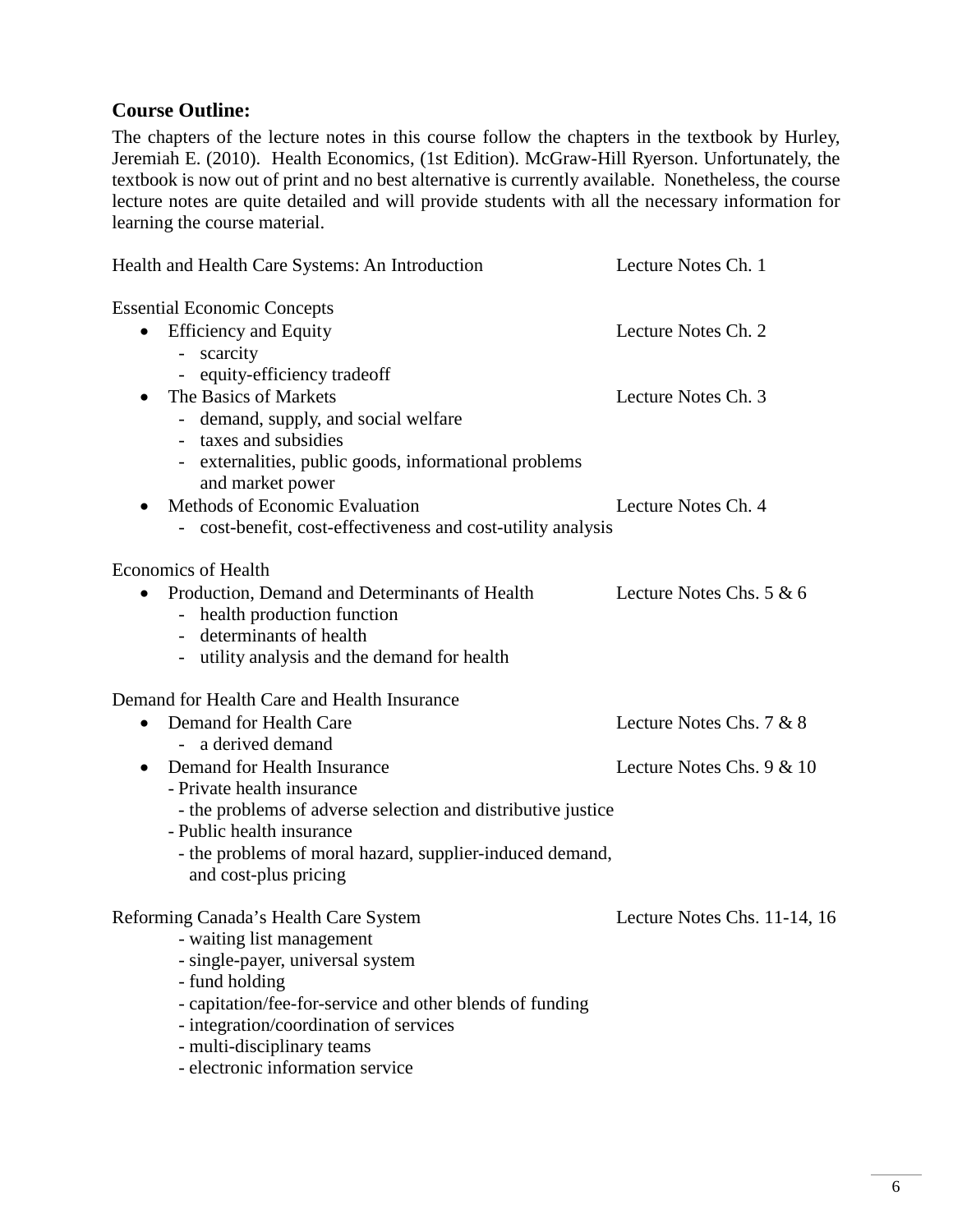# **Course Outline:**

The chapters of the lecture notes in this course follow the chapters in the textbook by Hurley, Jeremiah E. (2010). Health Economics, (1st Edition). McGraw-Hill Ryerson. Unfortunately, the textbook is now out of print and no best alternative is currently available. Nonetheless, the course lecture notes are quite detailed and will provide students with all the necessary information for learning the course material.

| Health and Health Care Systems: An Introduction                           | Lecture Notes Ch. 1          |
|---------------------------------------------------------------------------|------------------------------|
| <b>Essential Economic Concepts</b>                                        |                              |
| <b>Efficiency and Equity</b><br>- scarcity                                | Lecture Notes Ch. 2          |
| - equity-efficiency tradeoff                                              |                              |
| The Basics of Markets                                                     | Lecture Notes Ch. 3          |
| - demand, supply, and social welfare                                      |                              |
| - taxes and subsidies                                                     |                              |
| - externalities, public goods, informational problems<br>and market power |                              |
| Methods of Economic Evaluation                                            | Lecture Notes Ch. 4          |
| - cost-benefit, cost-effectiveness and cost-utility analysis              |                              |
| <b>Economics of Health</b>                                                |                              |
| Production, Demand and Determinants of Health<br>٠                        | Lecture Notes Chs. $5 & 6$   |
| - health production function                                              |                              |
| - determinants of health                                                  |                              |
| - utility analysis and the demand for health                              |                              |
| Demand for Health Care and Health Insurance                               |                              |
| Demand for Health Care<br>$\bullet$                                       | Lecture Notes Chs. 7 & 8     |
| - a derived demand                                                        |                              |
| Demand for Health Insurance                                               | Lecture Notes Chs. 9 & 10    |
| - Private health insurance                                                |                              |
| - the problems of adverse selection and distributive justice              |                              |
| - Public health insurance                                                 |                              |
| - the problems of moral hazard, supplier-induced demand,                  |                              |
| and cost-plus pricing                                                     |                              |
| Reforming Canada's Health Care System                                     | Lecture Notes Chs. 11-14, 16 |
| - waiting list management                                                 |                              |
| - single-payer, universal system                                          |                              |
| - fund holding                                                            |                              |
| - capitation/fee-for-service and other blends of funding                  |                              |
| - integration/coordination of services                                    |                              |
| - multi-disciplinary teams                                                |                              |
| - electronic information service                                          |                              |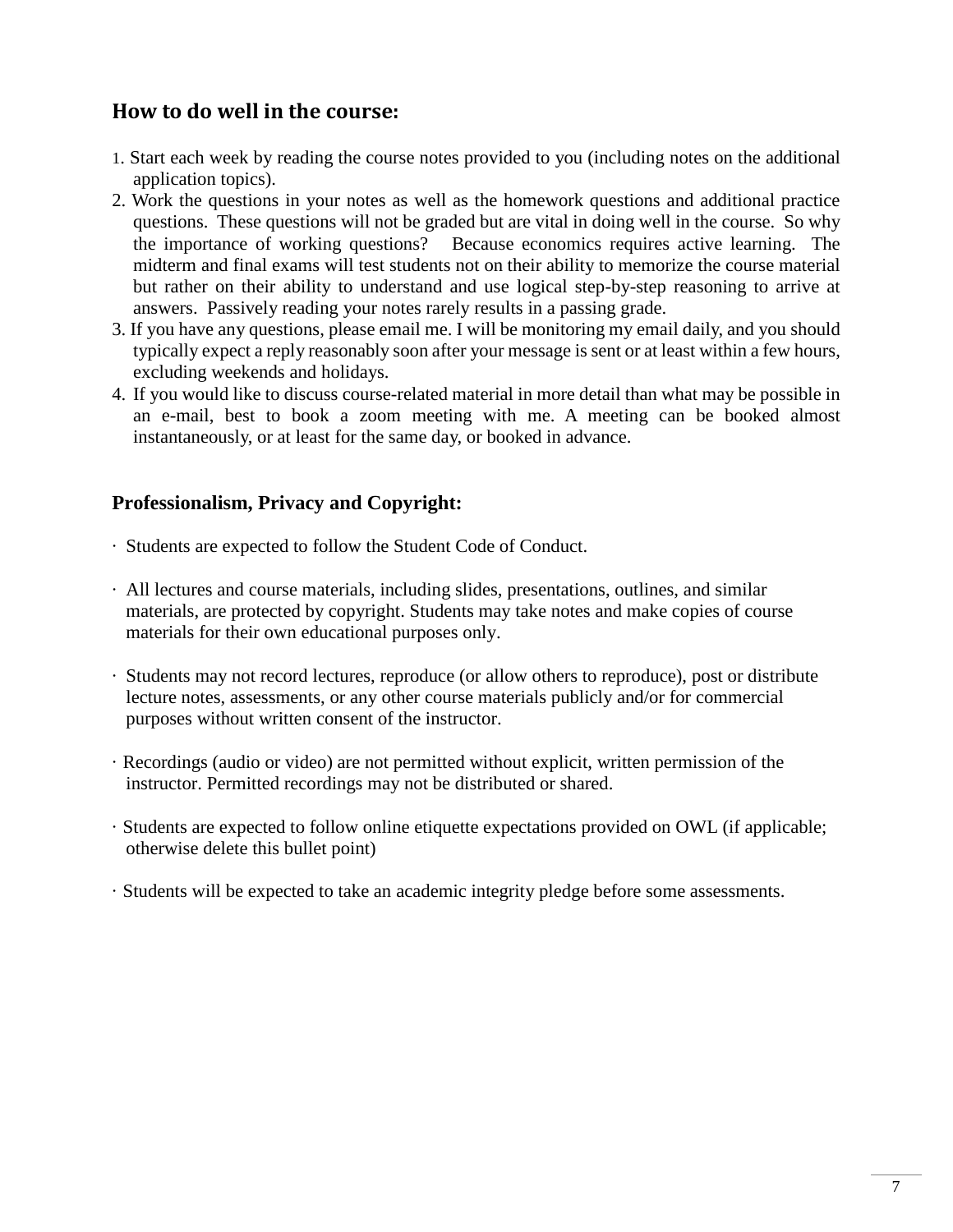# **How to do well in the course:**

- 1. Start each week by reading the course notes provided to you (including notes on the additional application topics).
- 2. Work the questions in your notes as well as the homework questions and additional practice questions. These questions will not be graded but are vital in doing well in the course. So why the importance of working questions? Because economics requires active learning. The midterm and final exams will test students not on their ability to memorize the course material but rather on their ability to understand and use logical step-by-step reasoning to arrive at answers. Passively reading your notes rarely results in a passing grade.
- 3. If you have any questions, please email me. I will be monitoring my email daily, and you should typically expect a reply reasonably soon after your message is sent or at least within a few hours, excluding weekends and holidays.
- 4. If you would like to discuss course-related material in more detail than what may be possible in an e-mail, best to book a zoom meeting with me. A meeting can be booked almost instantaneously, or at least for the same day, or booked in advance.

# **Professionalism, Privacy and Copyright:**

- · Students are expected to follow the Student Code of Conduct.
- · All lectures and course materials, including slides, presentations, outlines, and similar materials, are protected by copyright. Students may take notes and make copies of course materials for their own educational purposes only.
- · Students may not record lectures, reproduce (or allow others to reproduce), post or distribute lecture notes, assessments, or any other course materials publicly and/or for commercial purposes without written consent of the instructor.
- · Recordings (audio or video) are not permitted without explicit, written permission of the instructor. Permitted recordings may not be distributed or shared.
- · Students are expected to follow online etiquette expectations provided on OWL (if applicable; otherwise delete this bullet point)
- · Students will be expected to take an academic integrity pledge before some assessments.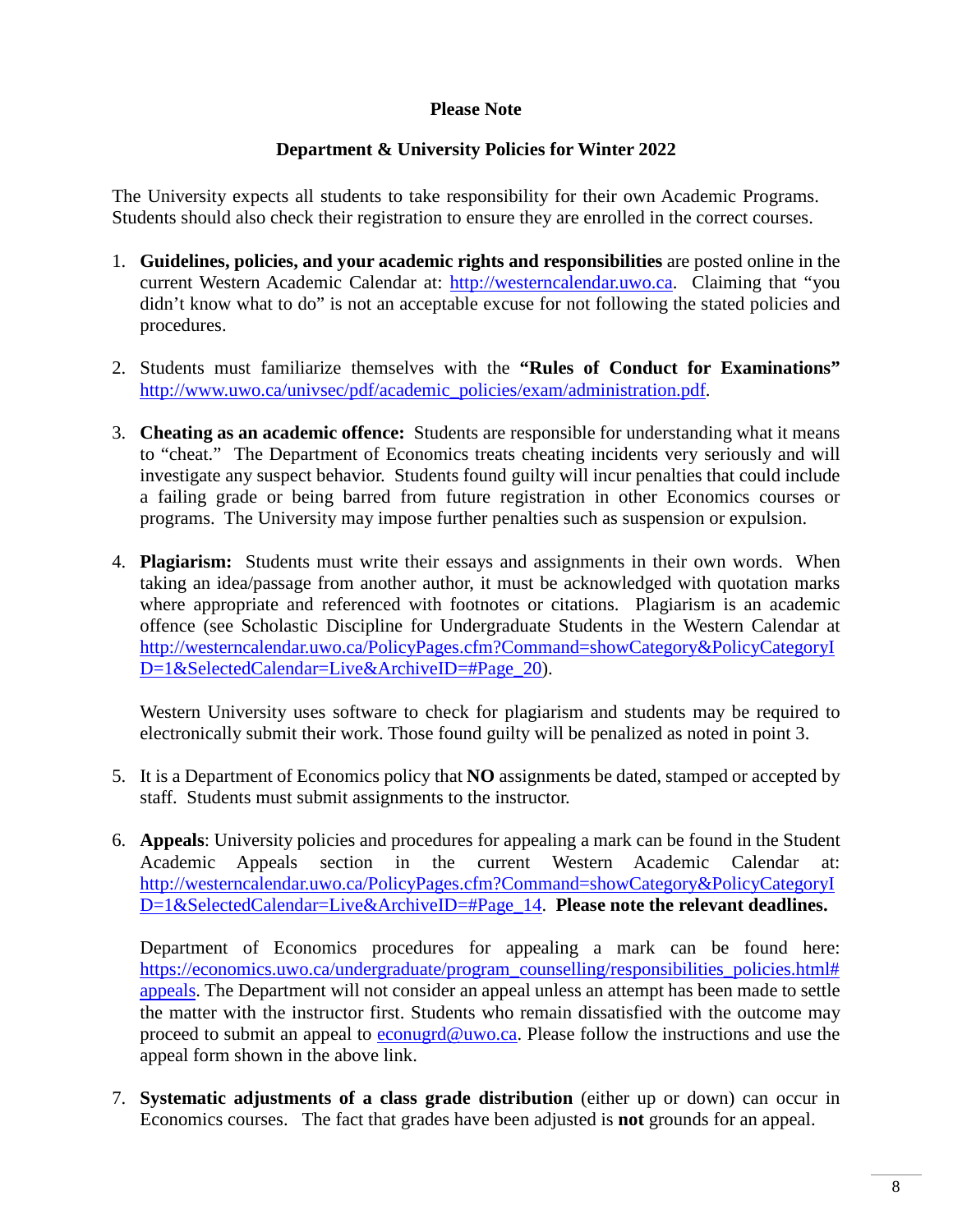### **Please Note**

## **Department & University Policies for Winter 2022**

The University expects all students to take responsibility for their own Academic Programs. Students should also check their registration to ensure they are enrolled in the correct courses.

- 1. **Guidelines, policies, and your academic rights and responsibilities** are posted online in the current Western Academic Calendar at: [http://westerncalendar.uwo.ca.](http://westerncalendar.uwo.ca/) Claiming that "you didn't know what to do" is not an acceptable excuse for not following the stated policies and procedures.
- 2. Students must familiarize themselves with the **"Rules of Conduct for Examinations"** [http://www.uwo.ca/univsec/pdf/academic\\_policies/exam/administration.pdf.](http://www.uwo.ca/univsec/pdf/academic_policies/exam/administration.pdf)
- 3. **Cheating as an academic offence:** Students are responsible for understanding what it means to "cheat." The Department of Economics treats cheating incidents very seriously and will investigate any suspect behavior. Students found guilty will incur penalties that could include a failing grade or being barred from future registration in other Economics courses or programs. The University may impose further penalties such as suspension or expulsion.
- 4. **Plagiarism:** Students must write their essays and assignments in their own words. When taking an idea/passage from another author, it must be acknowledged with quotation marks where appropriate and referenced with footnotes or citations. Plagiarism is an academic offence (see Scholastic Discipline for Undergraduate Students in the Western Calendar at [http://westerncalendar.uwo.ca/PolicyPages.cfm?Command=showCategory&PolicyCategoryI](http://westerncalendar.uwo.ca/PolicyPages.cfm?Command=showCategory&PolicyCategoryID=1&SelectedCalendar=Live&ArchiveID=#Page_20) D=1&SelectedCalendar=Live&ArchiveID=#Page 20).

Western University uses software to check for plagiarism and students may be required to electronically submit their work. Those found guilty will be penalized as noted in point 3.

- 5. It is a Department of Economics policy that **NO** assignments be dated, stamped or accepted by staff. Students must submit assignments to the instructor.
- 6. **Appeals**: University policies and procedures for appealing a mark can be found in the Student Academic Appeals section in the current Western Academic Calendar at: [http://westerncalendar.uwo.ca/PolicyPages.cfm?Command=showCategory&PolicyCategoryI](http://westerncalendar.uwo.ca/PolicyPages.cfm?Command=showCategory&PolicyCategoryID=1&SelectedCalendar=Live&ArchiveID=#Page_14) [D=1&SelectedCalendar=Live&ArchiveID=#Page\\_14.](http://westerncalendar.uwo.ca/PolicyPages.cfm?Command=showCategory&PolicyCategoryID=1&SelectedCalendar=Live&ArchiveID=#Page_14) **Please note the relevant deadlines.**

Department of Economics procedures for appealing a mark can be found here: [https://economics.uwo.ca/undergraduate/program\\_counselling/responsibilities\\_policies.html#](https://economics.uwo.ca/undergraduate/program_counselling/responsibilities_policies.html#appeals) [appeals.](https://economics.uwo.ca/undergraduate/program_counselling/responsibilities_policies.html#appeals) The Department will not consider an appeal unless an attempt has been made to settle the matter with the instructor first. Students who remain dissatisfied with the outcome may proceed to submit an appeal to [econugrd@uwo.ca.](mailto:econugrd@uwo.ca) Please follow the instructions and use the appeal form shown in the above link.

7. **Systematic adjustments of a class grade distribution** (either up or down) can occur in Economics courses. The fact that grades have been adjusted is **not** grounds for an appeal.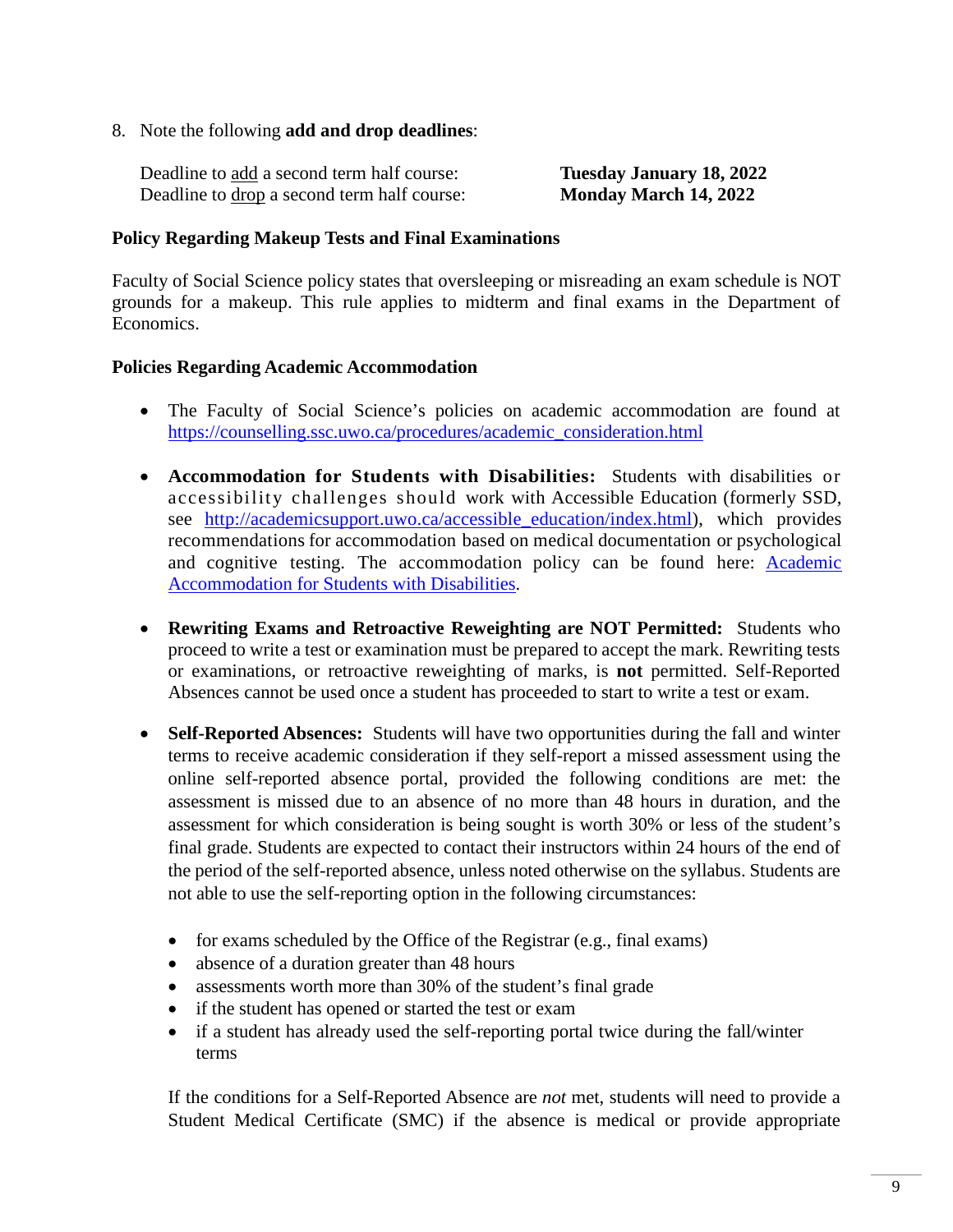8. Note the following **add and drop deadlines**:

| Deadline to add a second term half course:  | <b>Tuesday January 18, 2022</b> |
|---------------------------------------------|---------------------------------|
| Deadline to drop a second term half course: | Monday March 14, 2022           |

### **Policy Regarding Makeup Tests and Final Examinations**

Faculty of Social Science policy states that oversleeping or misreading an exam schedule is NOT grounds for a makeup. This rule applies to midterm and final exams in the Department of Economics.

### **Policies Regarding Academic Accommodation**

- The Faculty of Social Science's policies on academic accommodation are found at [https://counselling.ssc.uwo.ca/procedures/academic\\_consideration.html](https://counselling.ssc.uwo.ca/procedures/academic_consideration.html)
- **Accommodation for Students with Disabilities:** Students with disabilities or accessibility challenges should work with Accessible Education (formerly SSD, see [http://academicsupport.uwo.ca/accessible\\_education/index.html\)](http://academicsupport.uwo.ca/accessible_education/index.html), which provides recommendations for accommodation based on medical documentation or psychological and cognitive testing. The accommodation policy can be found here: [Academic](https://www.uwo.ca/univsec/pdf/academic_policies/appeals/Academic%20Accommodation_disabilities.pdf)  [Accommodation for Students with Disabilities.](https://www.uwo.ca/univsec/pdf/academic_policies/appeals/Academic%20Accommodation_disabilities.pdf)
- **Rewriting Exams and Retroactive Reweighting are NOT Permitted:** Students who proceed to write a test or examination must be prepared to accept the mark. Rewriting tests or examinations, or retroactive reweighting of marks, is **not** permitted. Self-Reported Absences cannot be used once a student has proceeded to start to write a test or exam.
- **Self-Reported Absences:** Students will have two opportunities during the fall and winter terms to receive academic consideration if they self-report a missed assessment using the online self-reported absence portal, provided the following conditions are met: the assessment is missed due to an absence of no more than 48 hours in duration, and the assessment for which consideration is being sought is worth 30% or less of the student's final grade. Students are expected to contact their instructors within 24 hours of the end of the period of the self-reported absence, unless noted otherwise on the syllabus. Students are not able to use the self-reporting option in the following circumstances:
	- for exams scheduled by the Office of the Registrar (e.g., final exams)
	- absence of a duration greater than 48 hours
	- assessments worth more than 30% of the student's final grade
	- if the student has opened or started the test or exam
	- if a student has already used the self-reporting portal twice during the fall/winter terms

If the conditions for a Self-Reported Absence are *not* met, students will need to provide a Student Medical Certificate (SMC) if the absence is medical or provide appropriate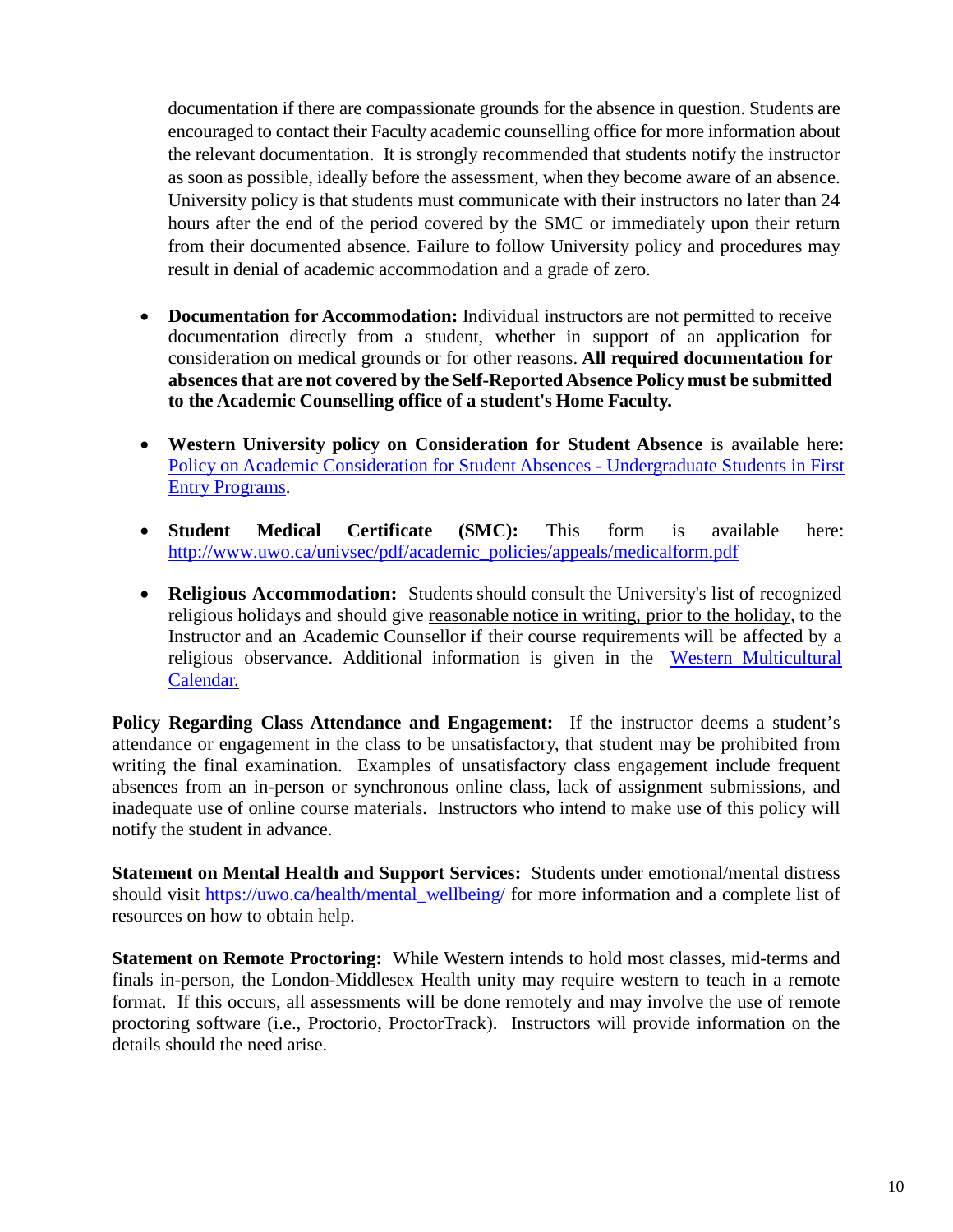documentation if there are compassionate grounds for the absence in question. Students are encouraged to contact their Faculty academic counselling office for more information about the relevant documentation. It is strongly recommended that students notify the instructor as soon as possible, ideally before the assessment, when they become aware of an absence. University policy is that students must communicate with their instructors no later than 24 hours after the end of the period covered by the SMC or immediately upon their return from their documented absence. Failure to follow University policy and procedures may result in denial of academic accommodation and a grade of zero.

- **Documentation for Accommodation:** Individual instructors are not permitted to receive documentation directly from a student, whether in support of an application for consideration on medical grounds or for other reasons. **All required documentation for absences that are not covered by the Self-Reported Absence Policy must be submitted to the Academic Counselling office of a student's Home Faculty.**
- **Western University policy on Consideration for Student Absence** is available here: [Policy on Academic Consideration for Student Absences -](https://www.uwo.ca/univsec/pdf/academic_policies/appeals/accommodation_illness.pdf) Undergraduate Students in First [Entry Programs.](https://www.uwo.ca/univsec/pdf/academic_policies/appeals/accommodation_illness.pdf)
- **Student Medical Certificate (SMC):** This form is available here: [http://www.uwo.ca/univsec/pdf/academic\\_policies/appeals/medicalform.pdf](http://www.uwo.ca/univsec/pdf/academic_policies/appeals/medicalform.pdf)
- **Religious Accommodation:** Students should consult the University's list of recognized religious holidays and should give reasonable notice in writing, prior to the holiday, to the Instructor and an Academic Counsellor if their course requirements will be affected by a religious observance. Additional information is given in the Western [Multicultural](https://multiculturalcalendar.com/ecal/index.php?s=c-univwo) [Calendar.](https://multiculturalcalendar.com/ecal/index.php?s=c-univwo)

**Policy Regarding Class Attendance and Engagement:** If the instructor deems a student's attendance or engagement in the class to be unsatisfactory, that student may be prohibited from writing the final examination. Examples of unsatisfactory class engagement include frequent absences from an in-person or synchronous online class, lack of assignment submissions, and inadequate use of online course materials. Instructors who intend to make use of this policy will notify the student in advance.

**Statement on Mental Health and Support Services:** Students under emotional/mental distress should visit [https://uwo.ca/health/mental\\_wellbeing/](https://uwo.ca/health/mental_wellbeing/) for more information and a complete list of resources on how to obtain help.

**Statement on Remote Proctoring:** While Western intends to hold most classes, mid-terms and finals in-person, the London-Middlesex Health unity may require western to teach in a remote format. If this occurs, all assessments will be done remotely and may involve the use of remote proctoring software (i.e., Proctorio, ProctorTrack). Instructors will provide information on the details should the need arise.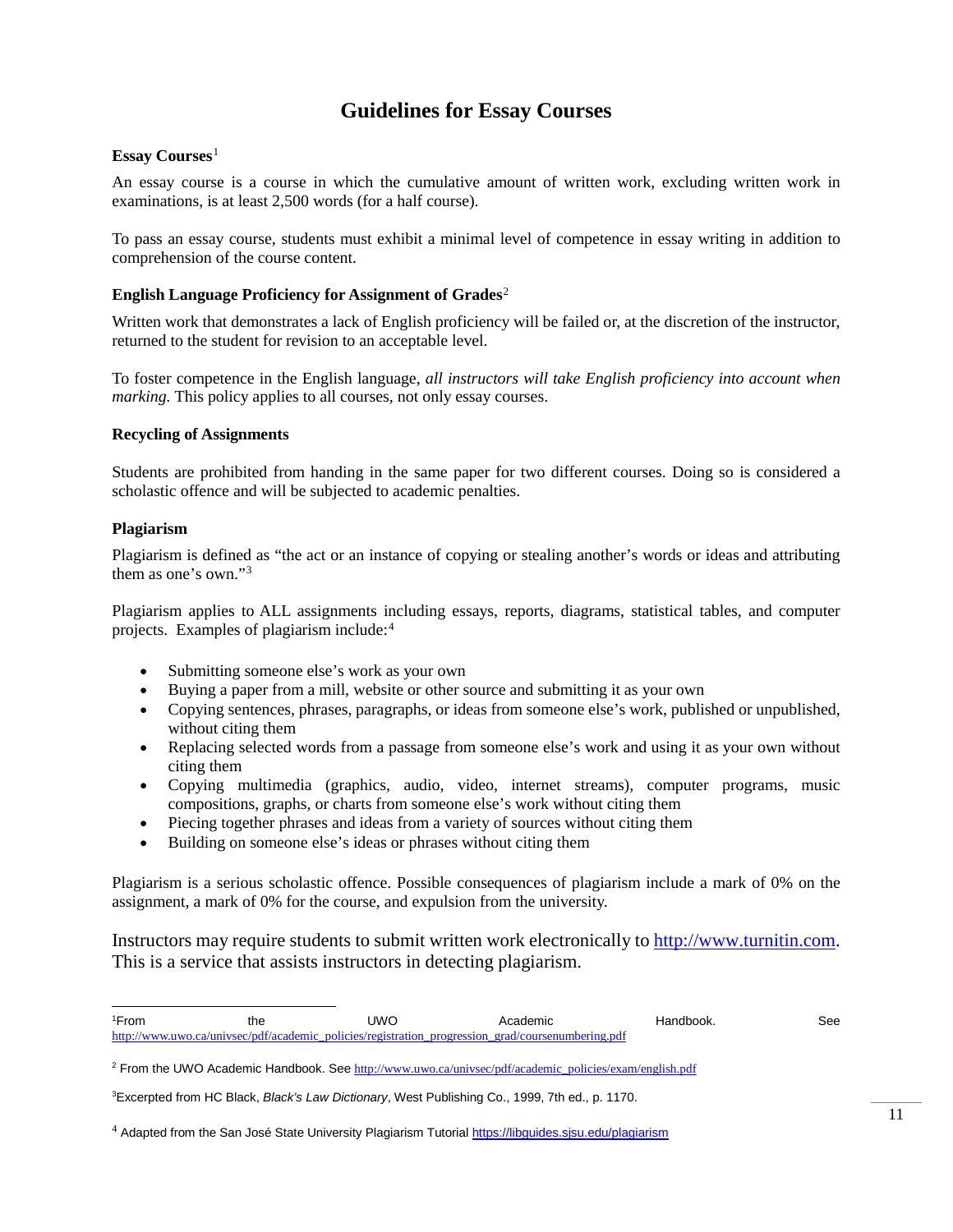# **Guidelines for Essay Courses**

# **Essay Courses**[1](#page-10-0)

An essay course is a course in which the cumulative amount of written work, excluding written work in examinations, is at least 2,500 words (for a half course).

To pass an essay course, students must exhibit a minimal level of competence in essay writing in addition to comprehension of the course content.

### **English Language Proficiency for Assignment of Grades**[2](#page-10-1)

Written work that demonstrates a lack of English proficiency will be failed or, at the discretion of the instructor, returned to the student for revision to an acceptable level.

To foster competence in the English language, *all instructors will take English proficiency into account when marking.* This policy applies to all courses, not only essay courses.

#### **Recycling of Assignments**

Students are prohibited from handing in the same paper for two different courses. Doing so is considered a scholastic offence and will be subjected to academic penalties.

#### **Plagiarism**

Plagiarism is defined as "the act or an instance of copying or stealing another's words or ideas and attributing them as one's own."[3](#page-10-2)

Plagiarism applies to ALL assignments including essays, reports, diagrams, statistical tables, and computer projects. Examples of plagiarism include:[4](#page-10-3)

- Submitting someone else's work as your own
- Buying a paper from a mill, website or other source and submitting it as your own
- Copying sentences, phrases, paragraphs, or ideas from someone else's work, published or unpublished, without citing them
- Replacing selected words from a passage from someone else's work and using it as your own without citing them
- Copying multimedia (graphics, audio, video, internet streams), computer programs, music compositions, graphs, or charts from someone else's work without citing them
- Piecing together phrases and ideas from a variety of sources without citing them
- Building on someone else's ideas or phrases without citing them

Plagiarism is a serious scholastic offence. Possible consequences of plagiarism include a mark of 0% on the assignment, a mark of 0% for the course, and expulsion from the university.

Instructors may require students to submit written work electronically to [http://www.turnitin.com.](http://www.turnitin.com/) This is a service that assists instructors in detecting plagiarism.

<span id="page-10-0"></span> $\ddot{ }$  $1$ From From the UWO Academic Handbook. See [http://www.uwo.ca/univsec/pdf/academic\\_policies/registration\\_progression\\_grad/coursenumbering.pdf](http://www.uwo.ca/univsec/pdf/academic_policies/registration_progression_grad/coursenumbering.pdf)

<span id="page-10-1"></span><sup>&</sup>lt;sup>2</sup> From the UWO Academic Handbook. See [http://www.uwo.ca/univsec/pdf/academic\\_policies/exam/english.pdf](http://www.uwo.ca/univsec/pdf/academic_policies/exam/english.pdf)

<span id="page-10-2"></span><sup>3</sup> Excerpted from HC Black, *Black's Law Dictionary*, West Publishing Co., 1999, 7th ed., p. 1170.

<span id="page-10-3"></span><sup>4</sup> Adapted from the San José State University Plagiarism Tutoria[l https://libguides.sjsu.edu/plagiarism](https://libguides.sjsu.edu/plagiarism)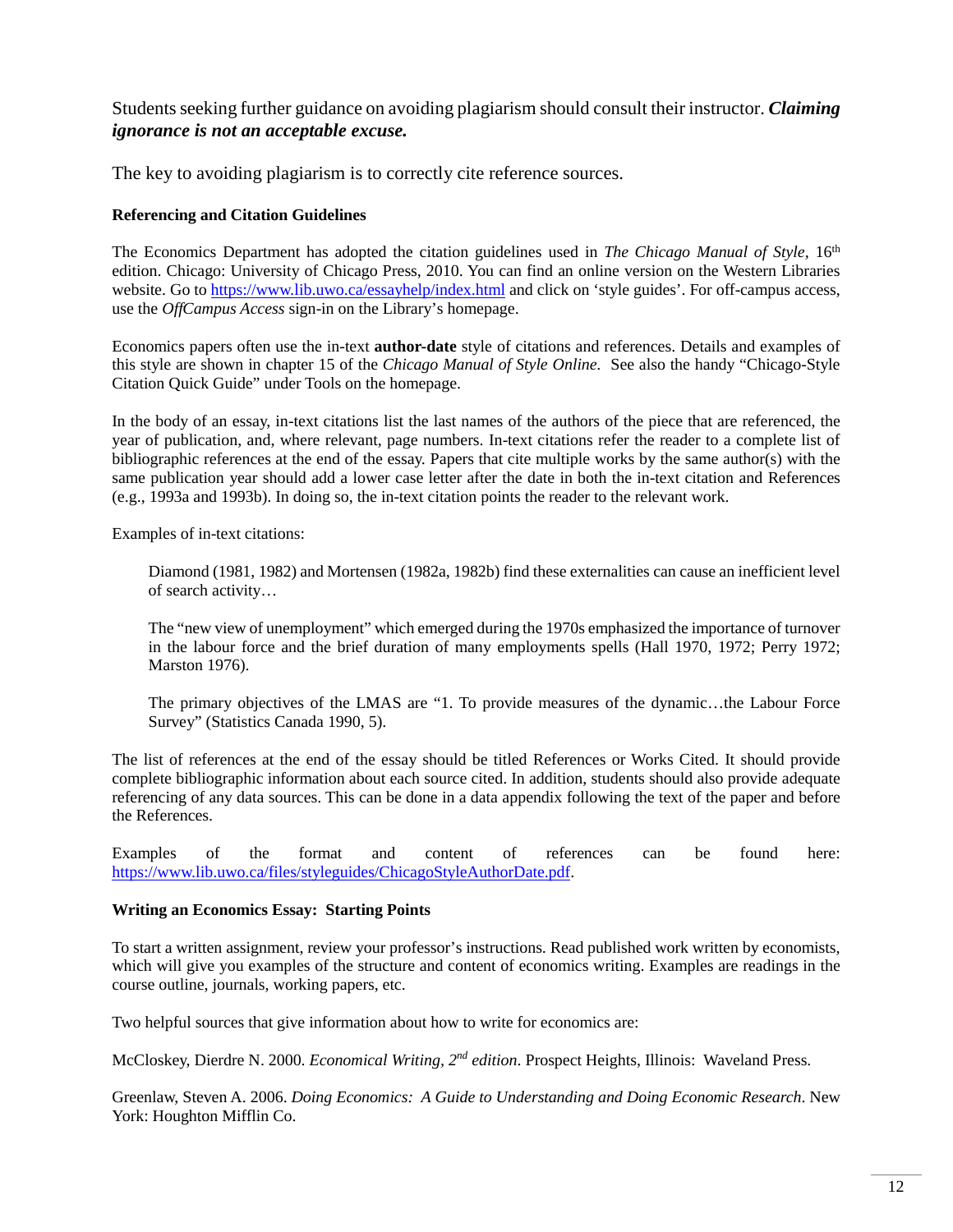Students seeking further guidance on avoiding plagiarism should consult their instructor. *Claiming ignorance is not an acceptable excuse.*

The key to avoiding plagiarism is to correctly cite reference sources.

### **Referencing and Citation Guidelines**

The Economics Department has adopted the citation guidelines used in *The Chicago Manual of Style*, 16th edition. Chicago: University of Chicago Press, 2010. You can find an online version on the Western Libraries website. Go to<https://www.lib.uwo.ca/essayhelp/index.html>and click on 'style guides'. For off-campus access, use the *OffCampus Access* sign-in on the Library's homepage.

Economics papers often use the in-text **author-date** style of citations and references. Details and examples of this style are shown in chapter 15 of the *Chicago Manual of Style Online.* See also the handy "Chicago-Style Citation Quick Guide" under Tools on the homepage.

In the body of an essay, in-text citations list the last names of the authors of the piece that are referenced, the year of publication, and, where relevant, page numbers. In-text citations refer the reader to a complete list of bibliographic references at the end of the essay. Papers that cite multiple works by the same author(s) with the same publication year should add a lower case letter after the date in both the in-text citation and References (e.g., 1993a and 1993b). In doing so, the in-text citation points the reader to the relevant work.

Examples of in-text citations:

Diamond (1981, 1982) and Mortensen (1982a, 1982b) find these externalities can cause an inefficient level of search activity…

The "new view of unemployment" which emerged during the 1970s emphasized the importance of turnover in the labour force and the brief duration of many employments spells (Hall 1970, 1972; Perry 1972; Marston 1976).

The primary objectives of the LMAS are "1. To provide measures of the dynamic…the Labour Force Survey" (Statistics Canada 1990, 5).

The list of references at the end of the essay should be titled References or Works Cited. It should provide complete bibliographic information about each source cited. In addition, students should also provide adequate referencing of any data sources. This can be done in a data appendix following the text of the paper and before the References.

Examples of the format and content of references can be found here: [https://www.lib.uwo.ca/files/styleguides/ChicagoStyleAuthorDate.pdf.](https://www.lib.uwo.ca/files/styleguides/ChicagoStyleAuthorDate.pdf)

### **Writing an Economics Essay: Starting Points**

To start a written assignment, review your professor's instructions. Read published work written by economists, which will give you examples of the structure and content of economics writing. Examples are readings in the course outline, journals, working papers, etc.

Two helpful sources that give information about how to write for economics are:

McCloskey, Dierdre N. 2000. *Economical Writing, 2nd edition*. Prospect Heights, Illinois: Waveland Press.

Greenlaw, Steven A. 2006. *Doing Economics: A Guide to Understanding and Doing Economic Research*. New York: Houghton Mifflin Co.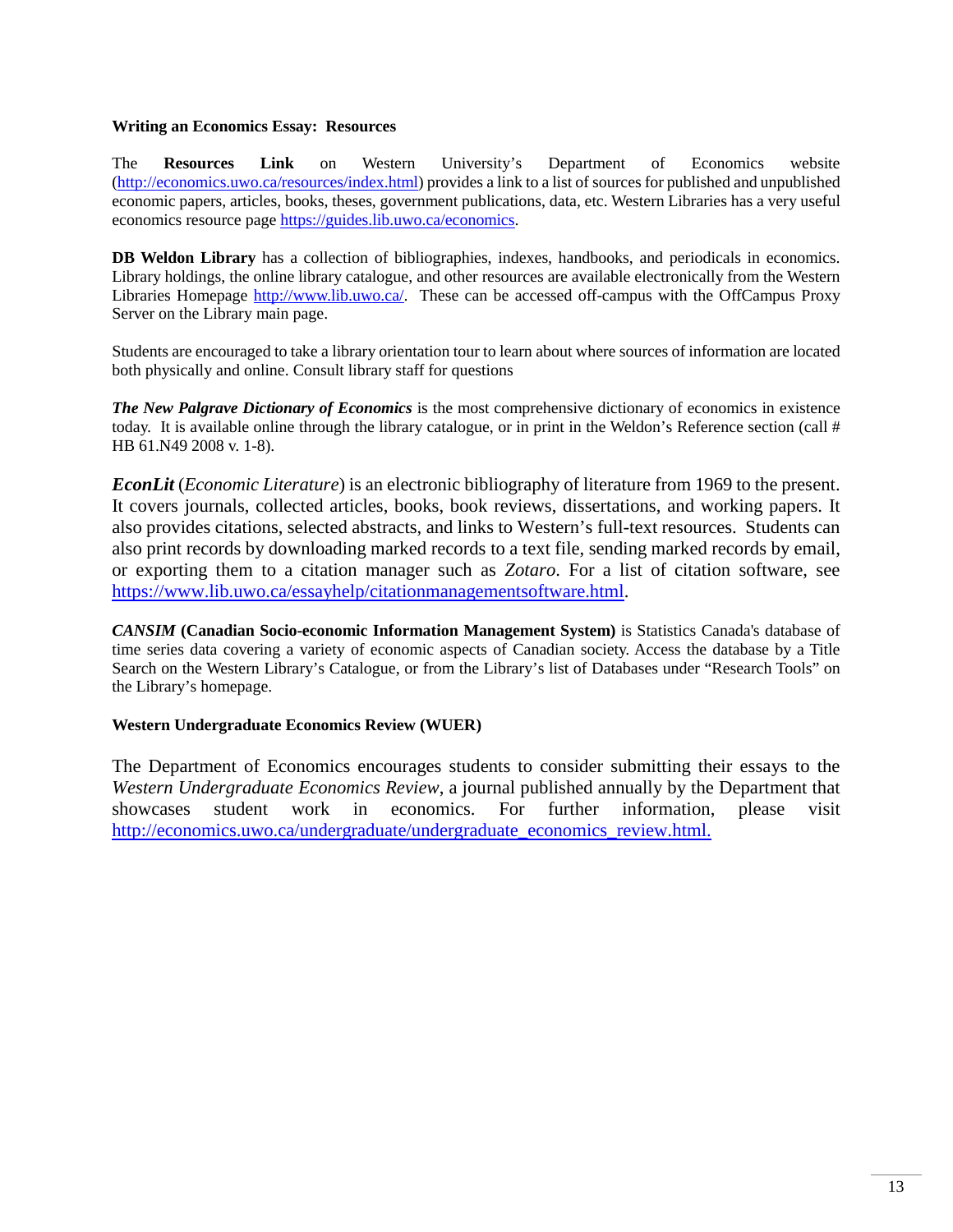### **Writing an Economics Essay: Resources**

The **Resources Link** on Western University's Department of Economics website [\(http://economics.uwo.ca/resources/index.html\)](http://economics.uwo.ca/resources/index.html) provides a link to a list of sources for published and unpublished economic papers, articles, books, theses, government publications, data, etc. Western Libraries has a very useful economics resource page [https://guides.lib.uwo.ca/economics.](https://guides.lib.uwo.ca/economics)

**DB Weldon Library** has a collection of bibliographies, indexes, handbooks, and periodicals in economics. Library holdings, the online library catalogue, and other resources are available electronically from the Western Libraries Homepage [http://www.lib.uwo.ca/.](http://www.lib.uwo.ca/) These can be accessed off-campus with the OffCampus Proxy Server on the Library main page.

Students are encouraged to take a library orientation tour to learn about where sources of information are located both physically and online. Consult library staff for questions

*The New Palgrave Dictionary of Economics* is the most comprehensive dictionary of economics in existence today. It is available online through the library catalogue, or in print in the Weldon's Reference section (call # HB 61.N49 2008 v. 1-8).

*EconLit* (*Economic Literature*) is an electronic bibliography of literature from 1969 to the present. It covers journals, collected articles, books, book reviews, dissertations, and working papers. It also provides citations, selected abstracts, and links to Western's full-text resources. Students can also print records by downloading marked records to a text file, sending marked records by email, or exporting them to a citation manager such as *Zotaro*. For a list of citation software, see [https://www.lib.uwo.ca/essayhelp/citationmanagementsoftware.html.](https://www.lib.uwo.ca/essayhelp/citationmanagementsoftware.html)

*CANSIM* **(Canadian Socio-economic Information Management System)** is Statistics Canada's database of time series data covering a variety of economic aspects of Canadian society. Access the database by a Title Search on the Western Library's Catalogue, or from the Library's list of Databases under "Research Tools" on the Library's homepage.

### **Western Undergraduate Economics Review (WUER)**

The Department of Economics encourages students to consider submitting their essays to the *Western Undergraduate Economics Review*, a journal published annually by the Department that showcases student work in economics. For further information, please visit [http://economics.uwo.ca/undergraduate/undergraduate\\_economics\\_review.html.](http://economics.uwo.ca/undergraduate/undergraduate_economics_review.html)